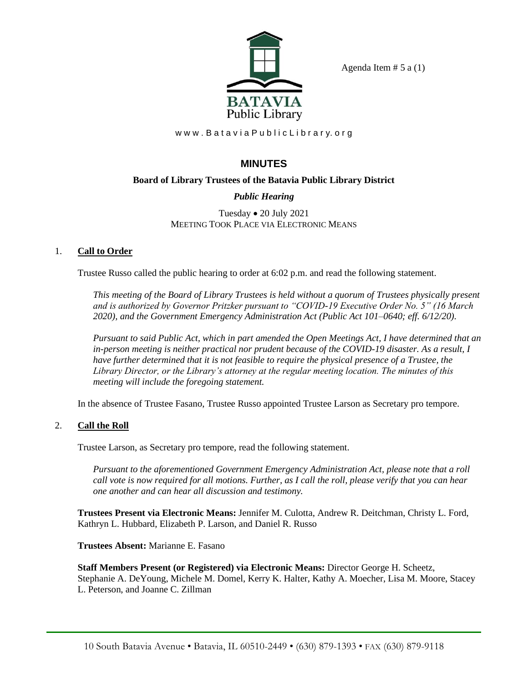

Agenda Item  $# 5$  a  $(1)$ 

www.BataviaPublicLibrary.org

# **MINUTES**

### **Board of Library Trustees of the Batavia Public Library District**

## *Public Hearing*

Tuesday • 20 July 2021 MEETING TOOK PLACE VIA ELECTRONIC MEANS

### 1. **Call to Order**

Trustee Russo called the public hearing to order at 6:02 p.m. and read the following statement.

*This meeting of the Board of Library Trustees is held without a quorum of Trustees physically present and is authorized by Governor Pritzker pursuant to "COVID-19 Executive Order No. 5" (16 March 2020), and the Government Emergency Administration Act (Public Act 101–0640; eff. 6/12/20).*

*Pursuant to said Public Act, which in part amended the Open Meetings Act, I have determined that an in-person meeting is neither practical nor prudent because of the COVID-19 disaster. As a result, I have further determined that it is not feasible to require the physical presence of a Trustee, the Library Director, or the Library's attorney at the regular meeting location. The minutes of this meeting will include the foregoing statement.*

In the absence of Trustee Fasano, Trustee Russo appointed Trustee Larson as Secretary pro tempore.

### 2. **Call the Roll**

Trustee Larson, as Secretary pro tempore, read the following statement.

*Pursuant to the aforementioned Government Emergency Administration Act, please note that a roll call vote is now required for all motions. Further, as I call the roll, please verify that you can hear one another and can hear all discussion and testimony.*

**Trustees Present via Electronic Means:** Jennifer M. Culotta, Andrew R. Deitchman, Christy L. Ford, Kathryn L. Hubbard, Elizabeth P. Larson, and Daniel R. Russo

**Trustees Absent:** Marianne E. Fasano

**Staff Members Present (or Registered) via Electronic Means:** Director George H. Scheetz, Stephanie A. DeYoung, Michele M. Domel, Kerry K. Halter, Kathy A. Moecher, Lisa M. Moore, Stacey L. Peterson, and Joanne C. Zillman